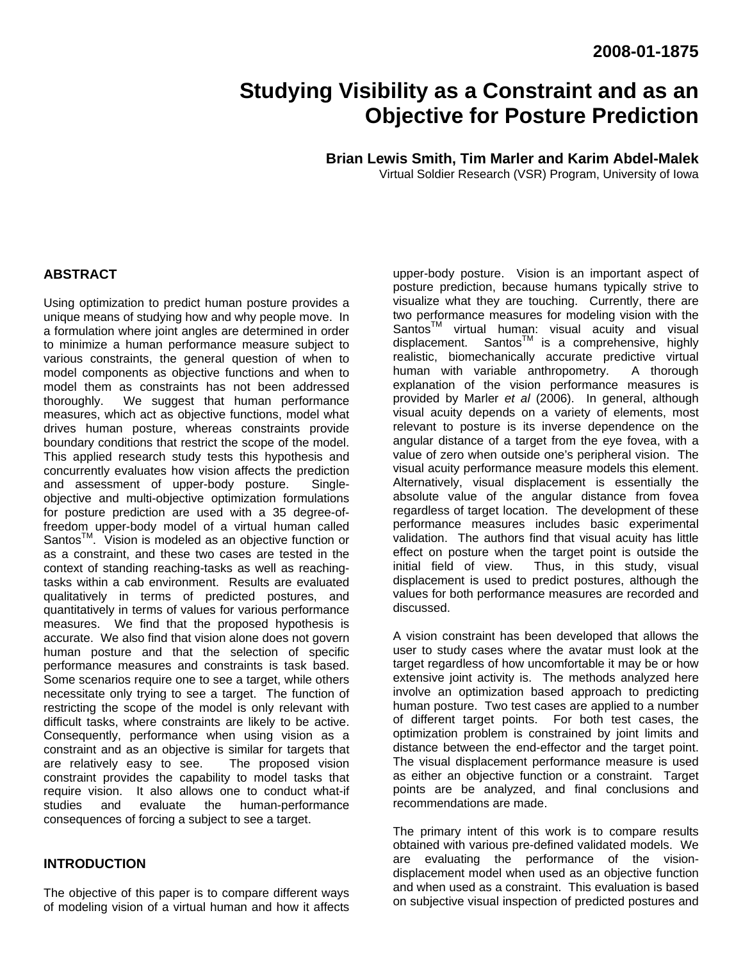# **Studying Visibility as a Constraint and as an Objective for Posture Prediction**

**Brian Lewis Smith, Tim Marler and Karim Abdel-Malek** 

Virtual Soldier Research (VSR) Program, University of Iowa

# **ABSTRACT**

Using optimization to predict human posture provides a unique means of studying how and why people move. In a formulation where joint angles are determined in order to minimize a human performance measure subject to various constraints, the general question of when to model components as objective functions and when to model them as constraints has not been addressed thoroughly. We suggest that human performance measures, which act as objective functions, model what drives human posture, whereas constraints provide boundary conditions that restrict the scope of the model. This applied research study tests this hypothesis and concurrently evaluates how vision affects the prediction and assessment of upper-body posture. Singleobjective and multi-objective optimization formulations for posture prediction are used with a 35 degree-offreedom upper-body model of a virtual human called Santos<sup>™</sup>. Vision is modeled as an objective function or as a constraint, and these two cases are tested in the context of standing reaching-tasks as well as reachingtasks within a cab environment. Results are evaluated qualitatively in terms of predicted postures, and quantitatively in terms of values for various performance measures. We find that the proposed hypothesis is accurate. We also find that vision alone does not govern human posture and that the selection of specific performance measures and constraints is task based. Some scenarios require one to see a target, while others necessitate only trying to see a target. The function of restricting the scope of the model is only relevant with difficult tasks, where constraints are likely to be active. Consequently, performance when using vision as a constraint and as an objective is similar for targets that are relatively easy to see. The proposed vision constraint provides the capability to model tasks that require vision. It also allows one to conduct what-if studies and evaluate the human-performance consequences of forcing a subject to see a target.

# **INTRODUCTION**

The objective of this paper is to compare different ways of modeling vision of a virtual human and how it affects

upper-body posture. Vision is an important aspect of posture prediction, because humans typically strive to visualize what they are touching. Currently, there are two performance measures for modeling vision with the  $Santos<sup>TM</sup>$  virtual human: visual acuity and visual  $displacement.$  Santos<sup>TM</sup> is a comprehensive, highly realistic, biomechanically accurate predictive virtual human with variable anthropometry. A thorough explanation of the vision performance measures is provided by Marler *et al* (2006). In general, although visual acuity depends on a variety of elements, most relevant to posture is its inverse dependence on the angular distance of a target from the eye fovea, with a value of zero when outside one's peripheral vision. The visual acuity performance measure models this element. Alternatively, visual displacement is essentially the absolute value of the angular distance from fovea regardless of target location. The development of these performance measures includes basic experimental validation. The authors find that visual acuity has little effect on posture when the target point is outside the initial field of view. Thus, in this study, visual displacement is used to predict postures, although the values for both performance measures are recorded and discussed.

A vision constraint has been developed that allows the user to study cases where the avatar must look at the target regardless of how uncomfortable it may be or how extensive joint activity is. The methods analyzed here involve an optimization based approach to predicting human posture. Two test cases are applied to a number of different target points. For both test cases, the optimization problem is constrained by joint limits and distance between the end-effector and the target point. The visual displacement performance measure is used as either an objective function or a constraint. Target points are be analyzed, and final conclusions and recommendations are made.

The primary intent of this work is to compare results obtained with various pre-defined validated models. We are evaluating the performance of the visiondisplacement model when used as an objective function and when used as a constraint. This evaluation is based on subjective visual inspection of predicted postures and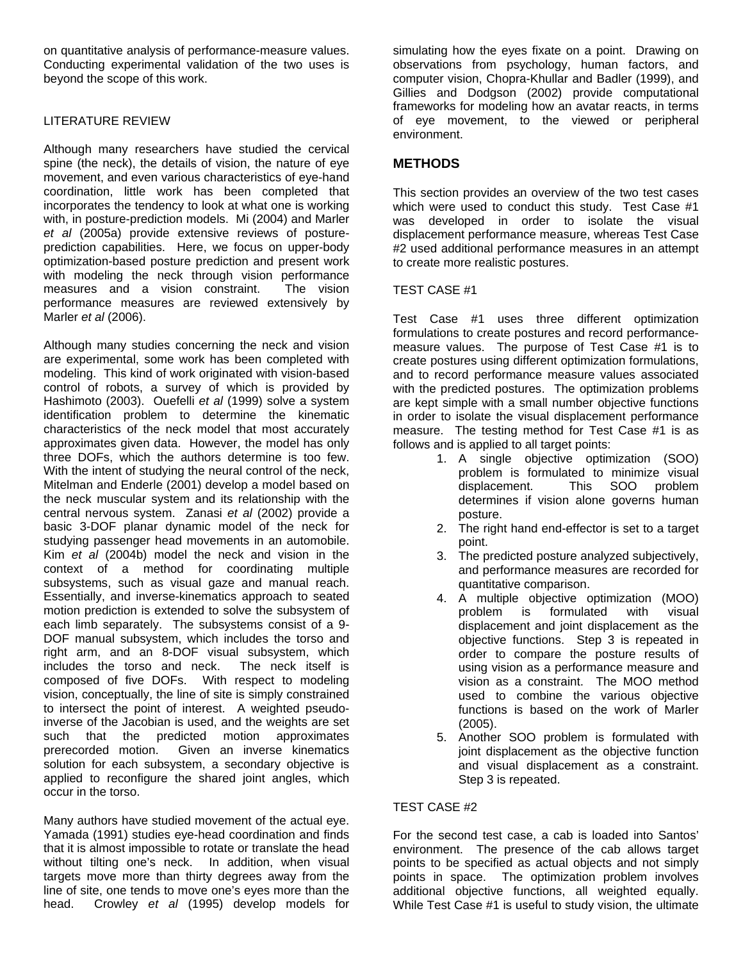on quantitative analysis of performance-measure values. Conducting experimental validation of the two uses is beyond the scope of this work.

# LITERATURE REVIEW

Although many researchers have studied the cervical spine (the neck), the details of vision, the nature of eye movement, and even various characteristics of eye-hand coordination, little work has been completed that incorporates the tendency to look at what one is working with, in posture-prediction models. Mi (2004) and Marler *et al* (2005a) provide extensive reviews of postureprediction capabilities. Here, we focus on upper-body optimization-based posture prediction and present work with modeling the neck through vision performance measures and a vision constraint. The vision performance measures are reviewed extensively by Marler *et al* (2006).

Although many studies concerning the neck and vision are experimental, some work has been completed with modeling. This kind of work originated with vision-based control of robots, a survey of which is provided by Hashimoto (2003). Ouefelli *et al* (1999) solve a system identification problem to determine the kinematic characteristics of the neck model that most accurately approximates given data. However, the model has only three DOFs, which the authors determine is too few. With the intent of studying the neural control of the neck, Mitelman and Enderle (2001) develop a model based on the neck muscular system and its relationship with the central nervous system. Zanasi *et al* (2002) provide a basic 3-DOF planar dynamic model of the neck for studying passenger head movements in an automobile. Kim *et al* (2004b) model the neck and vision in the context of a method for coordinating multiple subsystems, such as visual gaze and manual reach. Essentially, and inverse-kinematics approach to seated motion prediction is extended to solve the subsystem of each limb separately. The subsystems consist of a 9- DOF manual subsystem, which includes the torso and right arm, and an 8-DOF visual subsystem, which includes the torso and neck. The neck itself is composed of five DOFs. With respect to modeling vision, conceptually, the line of site is simply constrained to intersect the point of interest. A weighted pseudoinverse of the Jacobian is used, and the weights are set such that the predicted motion approximates prerecorded motion. Given an inverse kinematics solution for each subsystem, a secondary objective is applied to reconfigure the shared joint angles, which occur in the torso.

Many authors have studied movement of the actual eye. Yamada (1991) studies eye-head coordination and finds that it is almost impossible to rotate or translate the head without tilting one's neck. In addition, when visual targets move more than thirty degrees away from the line of site, one tends to move one's eyes more than the head. Crowley *et al* (1995) develop models for

simulating how the eyes fixate on a point. Drawing on observations from psychology, human factors, and computer vision, Chopra-Khullar and Badler (1999), and Gillies and Dodgson (2002) provide computational frameworks for modeling how an avatar reacts, in terms of eye movement, to the viewed or peripheral environment.

# **METHODS**

This section provides an overview of the two test cases which were used to conduct this study. Test Case #1 was developed in order to isolate the visual displacement performance measure, whereas Test Case #2 used additional performance measures in an attempt to create more realistic postures.

### TEST CASE #1

Test Case #1 uses three different optimization formulations to create postures and record performancemeasure values. The purpose of Test Case #1 is to create postures using different optimization formulations, and to record performance measure values associated with the predicted postures. The optimization problems are kept simple with a small number objective functions in order to isolate the visual displacement performance measure. The testing method for Test Case #1 is as follows and is applied to all target points:

- 1. A single objective optimization (SOO) problem is formulated to minimize visual displacement. This SOO problem determines if vision alone governs human posture.
- 2. The right hand end-effector is set to a target point.
- 3. The predicted posture analyzed subjectively, and performance measures are recorded for quantitative comparison.
- 4. A multiple objective optimization (MOO) problem is formulated with visual displacement and joint displacement as the objective functions. Step 3 is repeated in order to compare the posture results of using vision as a performance measure and vision as a constraint. The MOO method used to combine the various objective functions is based on the work of Marler (2005).
- 5. Another SOO problem is formulated with joint displacement as the objective function and visual displacement as a constraint. Step 3 is repeated.

## TEST CASE #2

For the second test case, a cab is loaded into Santos' environment. The presence of the cab allows target points to be specified as actual objects and not simply points in space. The optimization problem involves additional objective functions, all weighted equally. While Test Case #1 is useful to study vision, the ultimate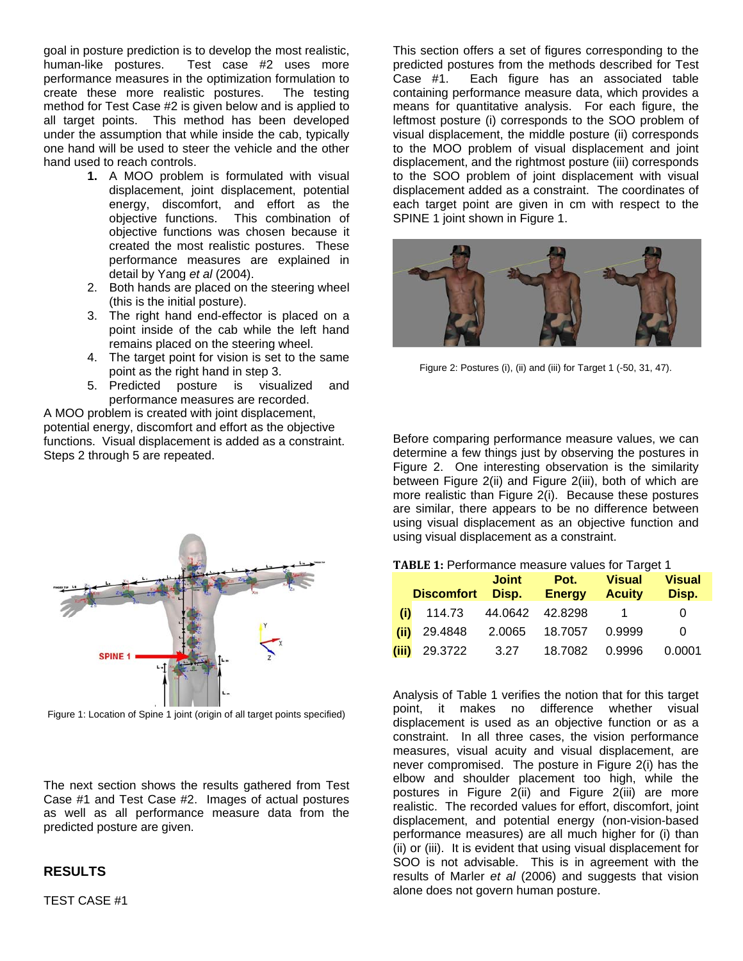goal in posture prediction is to develop the most realistic, human-like postures. Test case #2 uses more performance measures in the optimization formulation to create these more realistic postures. The testing method for Test Case #2 is given below and is applied to all target points. This method has been developed under the assumption that while inside the cab, typically one hand will be used to steer the vehicle and the other hand used to reach controls.

- **1.** A MOO problem is formulated with visual displacement, joint displacement, potential energy, discomfort, and effort as the objective functions. This combination of objective functions was chosen because it created the most realistic postures. These performance measures are explained in detail by Yang *et al* (2004).
- 2. Both hands are placed on the steering wheel (this is the initial posture).
- 3. The right hand end-effector is placed on a point inside of the cab while the left hand remains placed on the steering wheel.
- 4. The target point for vision is set to the same point as the right hand in step 3.
- 5. Predicted posture is visualized and performance measures are recorded.

A MOO problem is created with joint displacement, potential energy, discomfort and effort as the objective functions. Visual displacement is added as a constraint. Steps 2 through 5 are repeated.



Figure 1: Location of Spine 1 joint (origin of all target points specified)

The next section shows the results gathered from Test Case #1 and Test Case #2. Images of actual postures as well as all performance measure data from the predicted posture are given.

### **RESULTS**

TEST CASE #1

This section offers a set of figures corresponding to the predicted postures from the methods described for Test Case #1. Each figure has an associated table containing performance measure data, which provides a means for quantitative analysis. For each figure, the leftmost posture (i) corresponds to the SOO problem of visual displacement, the middle posture (ii) corresponds to the MOO problem of visual displacement and joint displacement, and the rightmost posture (iii) corresponds to the SOO problem of joint displacement with visual displacement added as a constraint. The coordinates of each target point are given in cm with respect to the SPINE 1 joint shown in Figure 1.



Figure 2: Postures (i), (ii) and (iii) for Target 1 (-50, 31, 47).

Before comparing performance measure values, we can determine a few things just by observing the postures in Figure 2. One interesting observation is the similarity between Figure 2(ii) and Figure 2(iii), both of which are more realistic than Figure 2(i). Because these postures are similar, there appears to be no difference between using visual displacement as an objective function and using visual displacement as a constraint.

#### **TABLE 1:** Performance measure values for Target 1

| <b>Discomfort</b> | <b>Joint</b><br>Disp. | Pot.<br><b>Energy</b> | <b>Visual</b><br><b>Acuity</b> | <b>Visual</b><br>Disp. |
|-------------------|-----------------------|-----------------------|--------------------------------|------------------------|
| $(i)$ 114.73      | 44.0642 42.8298       |                       | $\overline{1}$                 | 0                      |
| $(iii)$ 29.4848   | 2.0065                | 18.7057               | 0.9999                         | 0                      |
| $(iii)$ 29.3722   | 3.27                  | 18.7082               | 0.9996                         | 0.0001                 |

Analysis of Table 1 verifies the notion that for this target point, it makes no difference whether visual displacement is used as an objective function or as a constraint. In all three cases, the vision performance measures, visual acuity and visual displacement, are never compromised. The posture in Figure 2(i) has the elbow and shoulder placement too high, while the postures in Figure 2(ii) and Figure 2(iii) are more realistic. The recorded values for effort, discomfort, joint displacement, and potential energy (non-vision-based performance measures) are all much higher for (i) than (ii) or (iii). It is evident that using visual displacement for SOO is not advisable. This is in agreement with the results of Marler *et al* (2006) and suggests that vision alone does not govern human posture.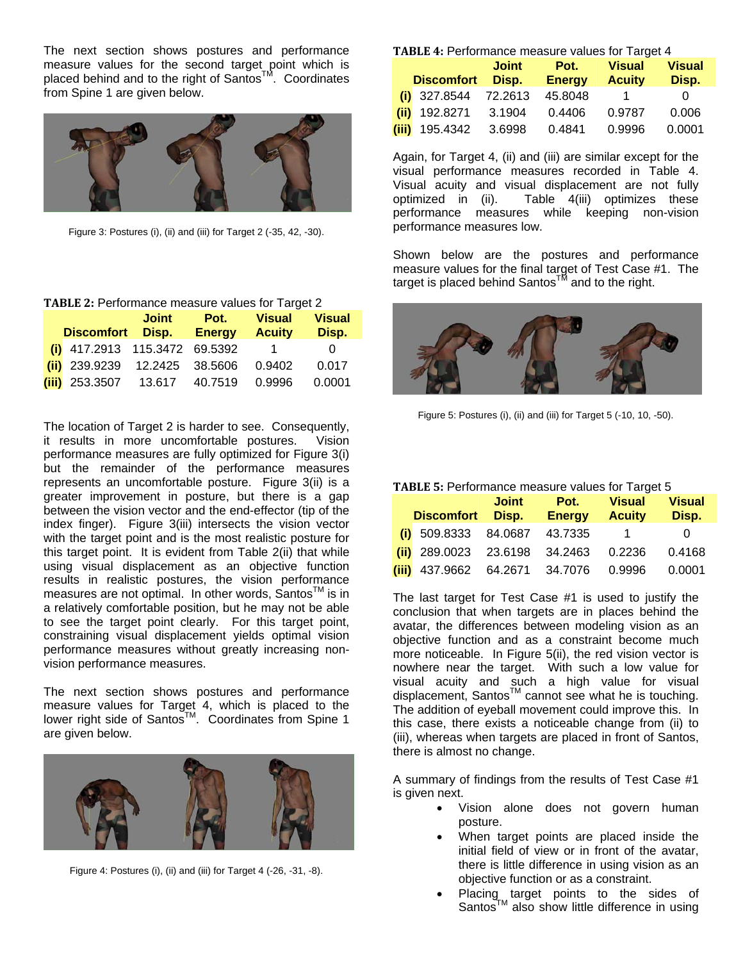The next section shows postures and performance measure values for the second target\_point which is placed behind and to the right of Santos<sup>™</sup>. Coordinates from Spine 1 are given below.



Figure 3: Postures (i), (ii) and (iii) for Target 2 (-35, 42, -30).

### **TABLE 2:** Performance measure values for Target 2

|  |                                  | <b>Joint</b> | Pot.          | <b>Visual</b> | <b>Visual</b> |
|--|----------------------------------|--------------|---------------|---------------|---------------|
|  | <b>Discomfort Disp.</b>          |              | <b>Energy</b> | <b>Acuity</b> | Disp.         |
|  | $(i)$ 417.2913 115.3472 69.5392  |              |               | $\mathbf{1}$  | 0             |
|  | $(iii)$ 239.9239 12.2425 38.5606 |              |               | 0.9402        | 0.017         |
|  | $(iii)$ 253.3507                 | 13.617       | 40.7519       | 0.9996        | 0.0001        |

The location of Target 2 is harder to see. Consequently, it results in more uncomfortable postures. Vision performance measures are fully optimized for Figure 3(i) but the remainder of the performance measures represents an uncomfortable posture. Figure 3(ii) is a greater improvement in posture, but there is a gap between the vision vector and the end-effector (tip of the index finger). Figure 3(iii) intersects the vision vector with the target point and is the most realistic posture for this target point. It is evident from Table 2(ii) that while using visual displacement as an objective function results in realistic postures, the vision performance measures are not optimal. In other words, Santos<sup>TM</sup> is in a relatively comfortable position, but he may not be able to see the target point clearly. For this target point, constraining visual displacement yields optimal vision performance measures without greatly increasing nonvision performance measures.

The next section shows postures and performance measure values for Target 4, which is placed to the lower right side of Santos™. Coordinates from Spine 1 are given below.



Figure 4: Postures (i), (ii) and (iii) for Target 4 (-26, -31, -8).

#### **TABLE 4:** Performance measure values for Target 4

| <b>Discomfort</b> |                  | <b>Joint</b><br>Disp. | Pot.<br><b>Energy</b> | <b>Visual</b><br><b>Acuity</b> | <b>Visual</b><br>Disp. |
|-------------------|------------------|-----------------------|-----------------------|--------------------------------|------------------------|
|                   | $(i)$ 327.8544   | 72.2613               | 45.8048               | 1                              | 0                      |
|                   | $(iii)$ 192.8271 | 3.1904                | 0.4406                | 0.9787                         | 0.006                  |
|                   | $(iii)$ 195.4342 | 3.6998                | 0.4841                | 0.9996                         | 0.0001                 |

Again, for Target 4, (ii) and (iii) are similar except for the visual performance measures recorded in Table 4. Visual acuity and visual displacement are not fully optimized in (ii). Table 4(iii) optimizes these performance measures while keeping non-vision performance measures low.

Shown below are the postures and performance measure values for the final target of Test Case #1. The target is placed behind Santos<sup>TM</sup> and to the right.



Figure 5: Postures (i), (ii) and (iii) for Target 5 (-10, 10, -50).

### **TABLE 5:** Performance measure values for Target 5

| <b>Discomfort Disp.</b> |                                  | <b>Joint</b> | Pot.<br><b>Energy</b> | <b>Visual</b><br><b>Acuity</b> | <b>Visual</b><br>Disp. |
|-------------------------|----------------------------------|--------------|-----------------------|--------------------------------|------------------------|
|                         | $(i)$ 509.8333 84.0687           |              | 43.7335               | 1.                             | $\Omega$               |
|                         | $(iii)$ 289.0023 23.6198 34.2463 |              |                       | 0.2236                         | 0.4168                 |
|                         | $(iii)$ 437.9662 64.2671 34.7076 |              |                       | 0.9996                         | 0.0001                 |

The last target for Test Case #1 is used to justify the conclusion that when targets are in places behind the avatar, the differences between modeling vision as an objective function and as a constraint become much more noticeable. In Figure 5(ii), the red vision vector is nowhere near the target. With such a low value for visual acuity and such a high value for visual displacement, SantosTM cannot see what he is touching. The addition of eyeball movement could improve this. In this case, there exists a noticeable change from (ii) to (iii), whereas when targets are placed in front of Santos, there is almost no change.

A summary of findings from the results of Test Case #1 is given next.

- Vision alone does not govern human posture.
- When target points are placed inside the initial field of view or in front of the avatar, there is little difference in using vision as an objective function or as a constraint.
- Placing target points to the sides of Santos™ also show little difference in using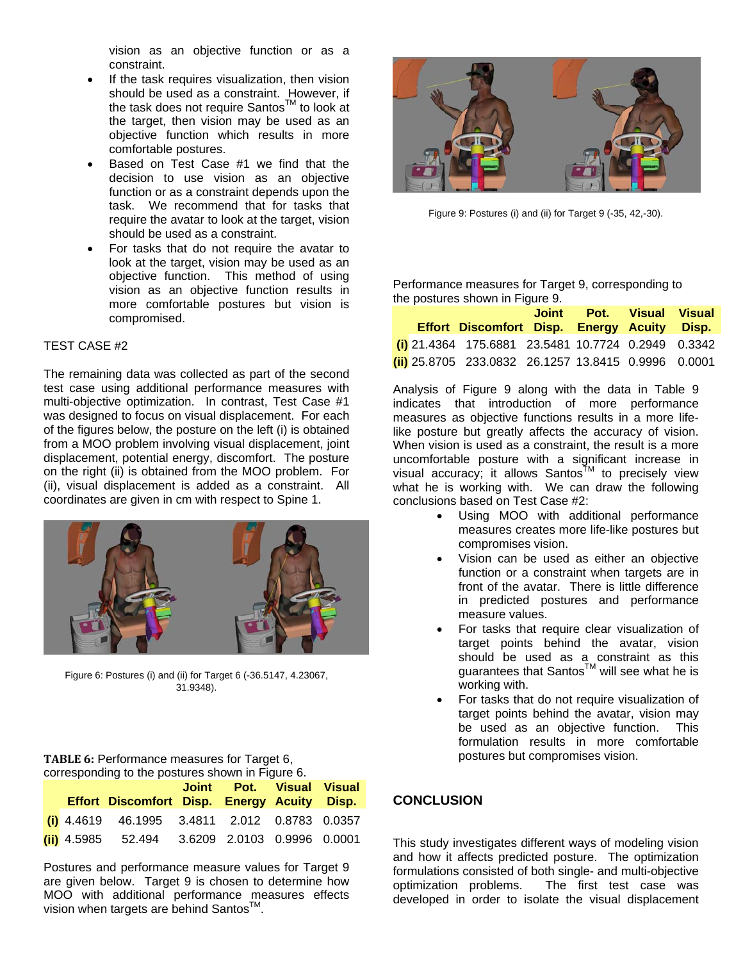vision as an objective function or as a constraint.

- If the task requires visualization, then vision should be used as a constraint. However, if the task does not require Santos™ to look at the target, then vision may be used as an objective function which results in more comfortable postures.
- Based on Test Case #1 we find that the decision to use vision as an objective function or as a constraint depends upon the task. We recommend that for tasks that require the avatar to look at the target, vision should be used as a constraint.
- For tasks that do not require the avatar to look at the target, vision may be used as an objective function. This method of using vision as an objective function results in more comfortable postures but vision is compromised.

### TEST CASE #2

The remaining data was collected as part of the second test case using additional performance measures with multi-objective optimization. In contrast, Test Case #1 was designed to focus on visual displacement. For each of the figures below, the posture on the left (i) is obtained from a MOO problem involving visual displacement, joint displacement, potential energy, discomfort. The posture on the right (ii) is obtained from the MOO problem. For (ii), visual displacement is added as a constraint. All coordinates are given in cm with respect to Spine 1.



Figure 6: Postures (i) and (ii) for Target 6 (-36.5147, 4.23067, 31.9348).

**TABLE 6:** Performance measures for Target 6, corresponding to the postures shown in Figure 6.

|  | Effort Discomfort Disp. Energy Acuity Disp.               | Joint Pot. Visual Visual |  |
|--|-----------------------------------------------------------|--------------------------|--|
|  | (i) $4.4619$ $46.1995$ $3.4811$ $2.012$ $0.8783$ $0.0357$ |                          |  |
|  | $(i)$ 4.5985 52.494 3.6209 2.0103 0.9996 0.0001           |                          |  |

Postures and performance measure values for Target 9 are given below. Target 9 is chosen to determine how MOO with additional performance measures effects vision when targets are behind Santos<sup>TM</sup>.



Figure 9: Postures (i) and (ii) for Target 9 (-35, 42,-30).

Performance measures for Target 9, corresponding to the postures shown in Figure 9.

|  | Effort Discomfort Disp. Energy Acuity Disp.          | Joint Pot. Visual Visual |  |
|--|------------------------------------------------------|--------------------------|--|
|  | $(i)$ 21.4364 175.6881 23.5481 10.7724 0.2949 0.3342 |                          |  |
|  | $(i)$ 25.8705 233.0832 26.1257 13.8415 0.9996 0.0001 |                          |  |

Analysis of Figure 9 along with the data in Table 9 indicates that introduction of more performance measures as objective functions results in a more lifelike posture but greatly affects the accuracy of vision. When vision is used as a constraint, the result is a more uncomfortable posture with a significant increase in visual accuracy; it allows Santos™ to precisely view what he is working with. We can draw the following conclusions based on Test Case #2:

- Using MOO with additional performance measures creates more life-like postures but compromises vision.
- Vision can be used as either an objective function or a constraint when targets are in front of the avatar. There is little difference in predicted postures and performance measure values.
- For tasks that require clear visualization of target points behind the avatar, vision should be used as a constraint as this guarantees that Santos<sup>™</sup> will see what he is working with.
- For tasks that do not require visualization of target points behind the avatar, vision may be used as an objective function. This formulation results in more comfortable postures but compromises vision.

# **CONCLUSION**

This study investigates different ways of modeling vision and how it affects predicted posture. The optimization formulations consisted of both single- and multi-objective optimization problems. The first test case was developed in order to isolate the visual displacement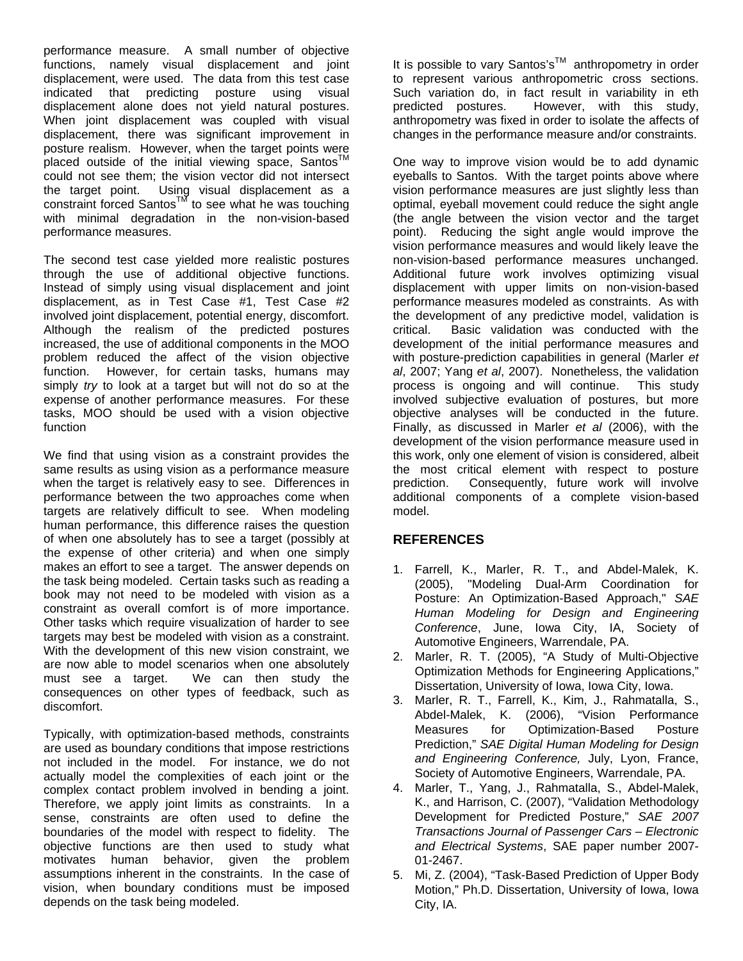performance measure. A small number of objective functions, namely visual displacement and joint displacement, were used. The data from this test case indicated that predicting posture using visual displacement alone does not yield natural postures. When joint displacement was coupled with visual displacement, there was significant improvement in posture realism. However, when the target points were placed outside of the initial viewing space, Santos<sup>TM</sup> could not see them; the vision vector did not intersect the target point. Using visual displacement as a constraint forced Santos™ to see what he was touching with minimal degradation in the non-vision-based performance measures.

The second test case yielded more realistic postures through the use of additional objective functions. Instead of simply using visual displacement and joint displacement, as in Test Case #1, Test Case #2 involved joint displacement, potential energy, discomfort. Although the realism of the predicted postures increased, the use of additional components in the MOO problem reduced the affect of the vision objective function. However, for certain tasks, humans may simply *try* to look at a target but will not do so at the expense of another performance measures. For these tasks, MOO should be used with a vision objective function

We find that using vision as a constraint provides the same results as using vision as a performance measure when the target is relatively easy to see. Differences in performance between the two approaches come when targets are relatively difficult to see. When modeling human performance, this difference raises the question of when one absolutely has to see a target (possibly at the expense of other criteria) and when one simply makes an effort to see a target. The answer depends on the task being modeled. Certain tasks such as reading a book may not need to be modeled with vision as a constraint as overall comfort is of more importance. Other tasks which require visualization of harder to see targets may best be modeled with vision as a constraint. With the development of this new vision constraint, we are now able to model scenarios when one absolutely must see a target. We can then study the consequences on other types of feedback, such as discomfort.

Typically, with optimization-based methods, constraints are used as boundary conditions that impose restrictions not included in the model. For instance, we do not actually model the complexities of each joint or the complex contact problem involved in bending a joint. Therefore, we apply joint limits as constraints. In a sense, constraints are often used to define the boundaries of the model with respect to fidelity. The objective functions are then used to study what motivates human behavior, given the problem assumptions inherent in the constraints. In the case of vision, when boundary conditions must be imposed depends on the task being modeled.

It is possible to vary Santos's™ anthropometry in order to represent various anthropometric cross sections. Such variation do, in fact result in variability in eth predicted postures. However, with this study, anthropometry was fixed in order to isolate the affects of changes in the performance measure and/or constraints.

One way to improve vision would be to add dynamic eyeballs to Santos. With the target points above where vision performance measures are just slightly less than optimal, eyeball movement could reduce the sight angle (the angle between the vision vector and the target point). Reducing the sight angle would improve the vision performance measures and would likely leave the non-vision-based performance measures unchanged. Additional future work involves optimizing visual displacement with upper limits on non-vision-based performance measures modeled as constraints. As with the development of any predictive model, validation is critical. Basic validation was conducted with the development of the initial performance measures and with posture-prediction capabilities in general (Marler *et al*, 2007; Yang *et al*, 2007). Nonetheless, the validation process is ongoing and will continue. This study involved subjective evaluation of postures, but more objective analyses will be conducted in the future. Finally, as discussed in Marler *et al* (2006), with the development of the vision performance measure used in this work, only one element of vision is considered, albeit the most critical element with respect to posture prediction. Consequently, future work will involve additional components of a complete vision-based model.

# **REFERENCES**

- 1. Farrell, K., Marler, R. T., and Abdel-Malek, K. (2005), "Modeling Dual-Arm Coordination for Posture: An Optimization-Based Approach," *SAE Human Modeling for Design and Engineering Conference*, June, Iowa City, IA, Society of Automotive Engineers, Warrendale, PA.
- 2. Marler, R. T. (2005), "A Study of Multi-Objective Optimization Methods for Engineering Applications," Dissertation, University of Iowa, Iowa City, Iowa.
- 3. Marler, R. T., Farrell, K., Kim, J., Rahmatalla, S., Abdel-Malek, K. (2006), "Vision Performance Measures for Optimization-Based Posture Prediction," *SAE Digital Human Modeling for Design and Engineering Conference,* July, Lyon, France, Society of Automotive Engineers, Warrendale, PA.
- 4. Marler, T., Yang, J., Rahmatalla, S., Abdel-Malek, K., and Harrison, C. (2007), "Validation Methodology Development for Predicted Posture," *SAE 2007 Transactions Journal of Passenger Cars – Electronic and Electrical Systems*, SAE paper number 2007- 01-2467.
- 5. Mi, Z. (2004), "Task-Based Prediction of Upper Body Motion," Ph.D. Dissertation, University of Iowa, Iowa City, IA.